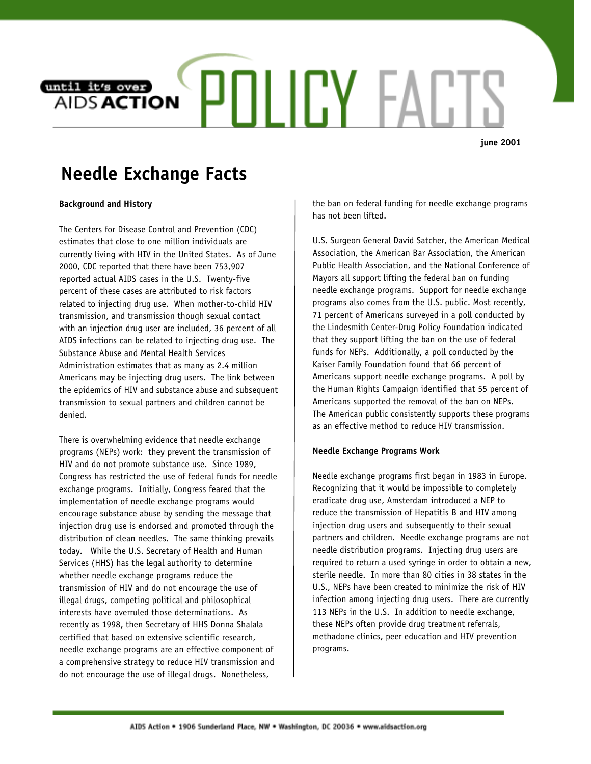# POLICY FACT until it's over ntil it's over<br>AIDS **ACTION**

**june 2001** 

## **Needle Exchange Facts**

#### **Background and History**

The Centers for Disease Control and Prevention (CDC) estimates that close to one million individuals are currently living with HIV in the United States. As of June 2000, CDC reported that there have been 753,907 reported actual AIDS cases in the U.S. Twenty-five percent of these cases are attributed to risk factors related to injecting drug use. When mother-to-child HIV transmission, and transmission though sexual contact with an injection drug user are included, 36 percent of all AIDS infections can be related to injecting drug use. The Substance Abuse and Mental Health Services Administration estimates that as many as 2.4 million Americans may be injecting drug users. The link between the epidemics of HIV and substance abuse and subsequent transmission to sexual partners and children cannot be denied.

There is overwhelming evidence that needle exchange programs (NEPs) work: they prevent the transmission of HIV and do not promote substance use. Since 1989, Congress has restricted the use of federal funds for needle exchange programs. Initially, Congress feared that the implementation of needle exchange programs would encourage substance abuse by sending the message that injection drug use is endorsed and promoted through the distribution of clean needles. The same thinking prevails today. While the U.S. Secretary of Health and Human Services (HHS) has the legal authority to determine whether needle exchange programs reduce the transmission of HIV and do not encourage the use of illegal drugs, competing political and philosophical interests have overruled those determinations. As recently as 1998, then Secretary of HHS Donna Shalala certified that based on extensive scientific research, needle exchange programs are an effective component of a comprehensive strategy to reduce HIV transmission and do not encourage the use of illegal drugs. Nonetheless,

the ban on federal funding for needle exchange programs has not been lifted.

U.S. Surgeon General David Satcher, the American Medical Association, the American Bar Association, the American Public Health Association, and the National Conference of Mayors all support lifting the federal ban on funding needle exchange programs. Support for needle exchange programs also comes from the U.S. public. Most recently, 71 percent of Americans surveyed in a poll conducted by the Lindesmith Center-Drug Policy Foundation indicated that they support lifting the ban on the use of federal funds for NEPs. Additionally, a poll conducted by the Kaiser Family Foundation found that 66 percent of Americans support needle exchange programs. A poll by the Human Rights Campaign identified that 55 percent of Americans supported the removal of the ban on NEPs. The American public consistently supports these programs as an effective method to reduce HIV transmission.

#### **Needle Exchange Programs Work**

Needle exchange programs first began in 1983 in Europe. Recognizing that it would be impossible to completely eradicate drug use, Amsterdam introduced a NEP to reduce the transmission of Hepatitis B and HIV among injection drug users and subsequently to their sexual partners and children. Needle exchange programs are not needle distribution programs. Injecting drug users are required to return a used syringe in order to obtain a new, sterile needle. In more than 80 cities in 38 states in the U.S., NEPs have been created to minimize the risk of HIV infection among injecting drug users. There are currently 113 NEPs in the U.S. In addition to needle exchange, these NEPs often provide drug treatment referrals, methadone clinics, peer education and HIV prevention programs.